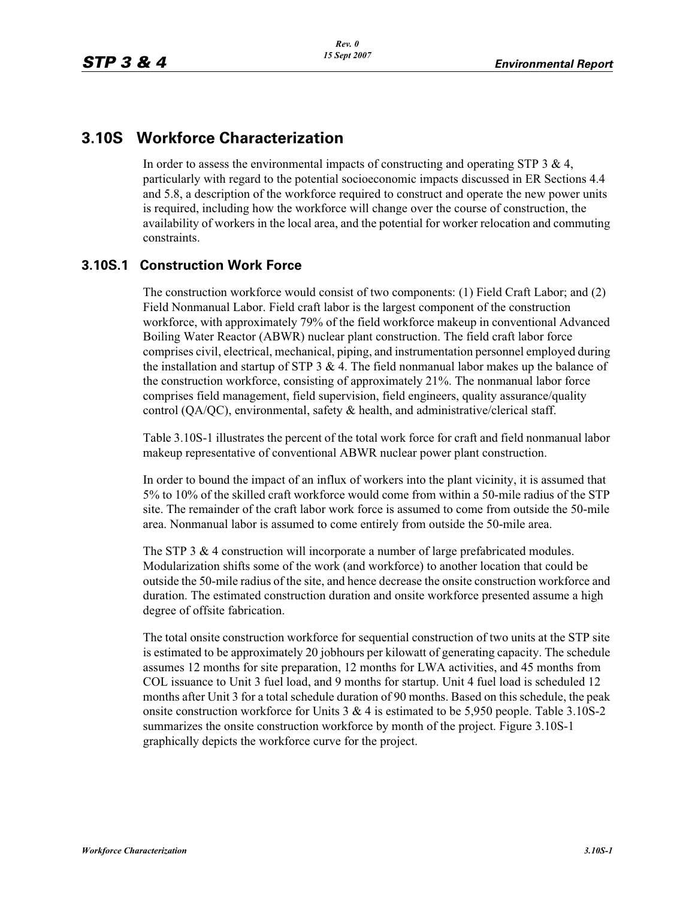## **3.10S Workforce Characterization**

In order to assess the environmental impacts of constructing and operating STP 3  $\&$  4, particularly with regard to the potential socioeconomic impacts discussed in ER Sections 4.4 and 5.8, a description of the workforce required to construct and operate the new power units is required, including how the workforce will change over the course of construction, the availability of workers in the local area, and the potential for worker relocation and commuting constraints.

### **3.10S.1 Construction Work Force**

The construction workforce would consist of two components: (1) Field Craft Labor; and (2) Field Nonmanual Labor. Field craft labor is the largest component of the construction workforce, with approximately 79% of the field workforce makeup in conventional Advanced Boiling Water Reactor (ABWR) nuclear plant construction. The field craft labor force comprises civil, electrical, mechanical, piping, and instrumentation personnel employed during the installation and startup of STP  $3 \& 4$ . The field nonmanual labor makes up the balance of the construction workforce, consisting of approximately 21%. The nonmanual labor force comprises field management, field supervision, field engineers, quality assurance/quality control (QA/QC), environmental, safety & health, and administrative/clerical staff.

Table 3.10S-1 illustrates the percent of the total work force for craft and field nonmanual labor makeup representative of conventional ABWR nuclear power plant construction.

In order to bound the impact of an influx of workers into the plant vicinity, it is assumed that 5% to 10% of the skilled craft workforce would come from within a 50-mile radius of the STP site. The remainder of the craft labor work force is assumed to come from outside the 50-mile area. Nonmanual labor is assumed to come entirely from outside the 50-mile area.

The STP 3 & 4 construction will incorporate a number of large prefabricated modules. Modularization shifts some of the work (and workforce) to another location that could be outside the 50-mile radius of the site, and hence decrease the onsite construction workforce and duration. The estimated construction duration and onsite workforce presented assume a high degree of offsite fabrication.

The total onsite construction workforce for sequential construction of two units at the STP site is estimated to be approximately 20 jobhours per kilowatt of generating capacity. The schedule assumes 12 months for site preparation, 12 months for LWA activities, and 45 months from COL issuance to Unit 3 fuel load, and 9 months for startup. Unit 4 fuel load is scheduled 12 months after Unit 3 for a total schedule duration of 90 months. Based on this schedule, the peak onsite construction workforce for Units  $3 \& 4$  is estimated to be 5,950 people. Table 3.10S-2 summarizes the onsite construction workforce by month of the project. Figure 3.10S-1 graphically depicts the workforce curve for the project.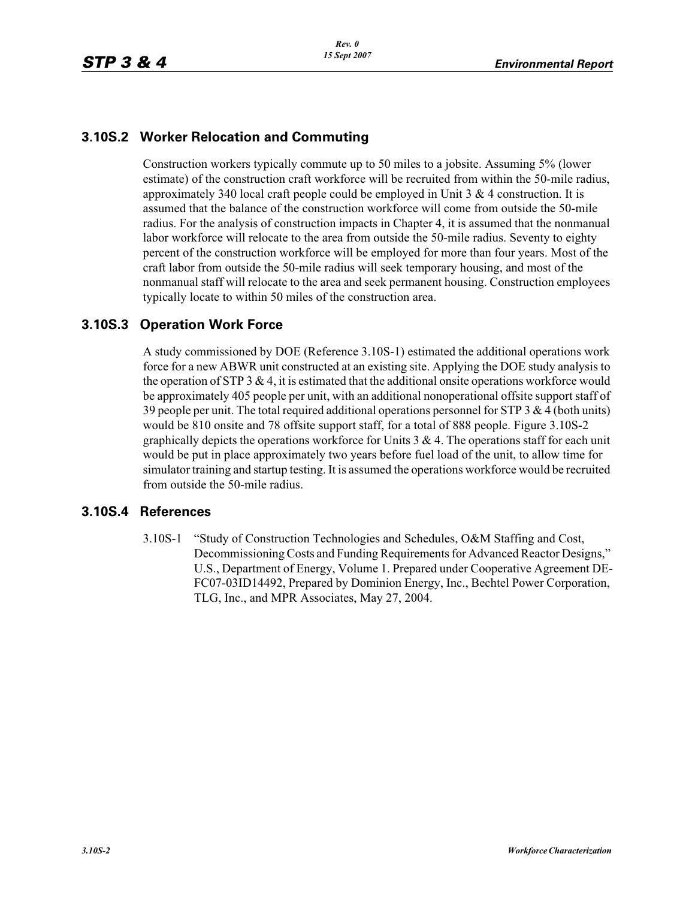### **3.10S.2 Worker Relocation and Commuting**

Construction workers typically commute up to 50 miles to a jobsite. Assuming 5% (lower estimate) of the construction craft workforce will be recruited from within the 50-mile radius, approximately 340 local craft people could be employed in Unit  $3 \& 4$  construction. It is assumed that the balance of the construction workforce will come from outside the 50-mile radius. For the analysis of construction impacts in Chapter 4, it is assumed that the nonmanual labor workforce will relocate to the area from outside the 50-mile radius. Seventy to eighty percent of the construction workforce will be employed for more than four years. Most of the craft labor from outside the 50-mile radius will seek temporary housing, and most of the nonmanual staff will relocate to the area and seek permanent housing. Construction employees typically locate to within 50 miles of the construction area.

### **3.10S.3 Operation Work Force**

A study commissioned by DOE (Reference 3.10S-1) estimated the additional operations work force for a new ABWR unit constructed at an existing site. Applying the DOE study analysis to the operation of STP 3  $\&$  4, it is estimated that the additional onsite operations workforce would be approximately 405 people per unit, with an additional nonoperational offsite support staff of 39 people per unit. The total required additional operations personnel for STP 3  $\&$  4 (both units) would be 810 onsite and 78 offsite support staff, for a total of 888 people. Figure 3.10S-2 graphically depicts the operations workforce for Units  $3 \& 4$ . The operations staff for each unit would be put in place approximately two years before fuel load of the unit, to allow time for simulator training and startup testing. It is assumed the operations workforce would be recruited from outside the 50-mile radius.

#### **3.10S.4 References**

3.10S-1 "Study of Construction Technologies and Schedules, O&M Staffing and Cost, Decommissioning Costs and Funding Requirements for Advanced Reactor Designs," U.S., Department of Energy, Volume 1. Prepared under Cooperative Agreement DE-FC07-03ID14492, Prepared by Dominion Energy, Inc., Bechtel Power Corporation, TLG, Inc., and MPR Associates, May 27, 2004.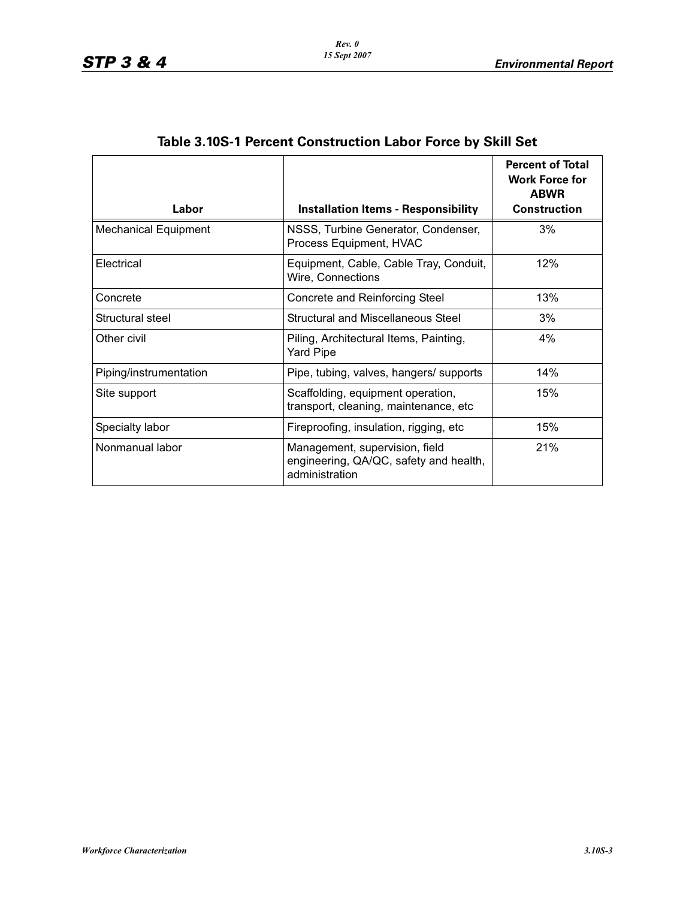| Labor                       | <b>Installation Items - Responsibility</b>                                                 | <b>Percent of Total</b><br><b>Work Force for</b><br><b>ABWR</b><br><b>Construction</b> |
|-----------------------------|--------------------------------------------------------------------------------------------|----------------------------------------------------------------------------------------|
| <b>Mechanical Equipment</b> | NSSS, Turbine Generator, Condenser,<br>Process Equipment, HVAC                             | 3%                                                                                     |
| Electrical                  | Equipment, Cable, Cable Tray, Conduit,<br>Wire, Connections                                | 12%                                                                                    |
| Concrete                    | Concrete and Reinforcing Steel                                                             | 13%                                                                                    |
| Structural steel            | Structural and Miscellaneous Steel                                                         | 3%                                                                                     |
| Other civil                 | Piling, Architectural Items, Painting,<br>Yard Pipe                                        | 4%                                                                                     |
| Piping/instrumentation      | Pipe, tubing, valves, hangers/ supports                                                    | 14%                                                                                    |
| Site support                | Scaffolding, equipment operation,<br>transport, cleaning, maintenance, etc                 | 15%                                                                                    |
| Specialty labor             | Fireproofing, insulation, rigging, etc.                                                    | 15%                                                                                    |
| Nonmanual labor             | Management, supervision, field<br>engineering, QA/QC, safety and health,<br>administration | 21%                                                                                    |

# **Table 3.10S-1 Percent Construction Labor Force by Skill Set**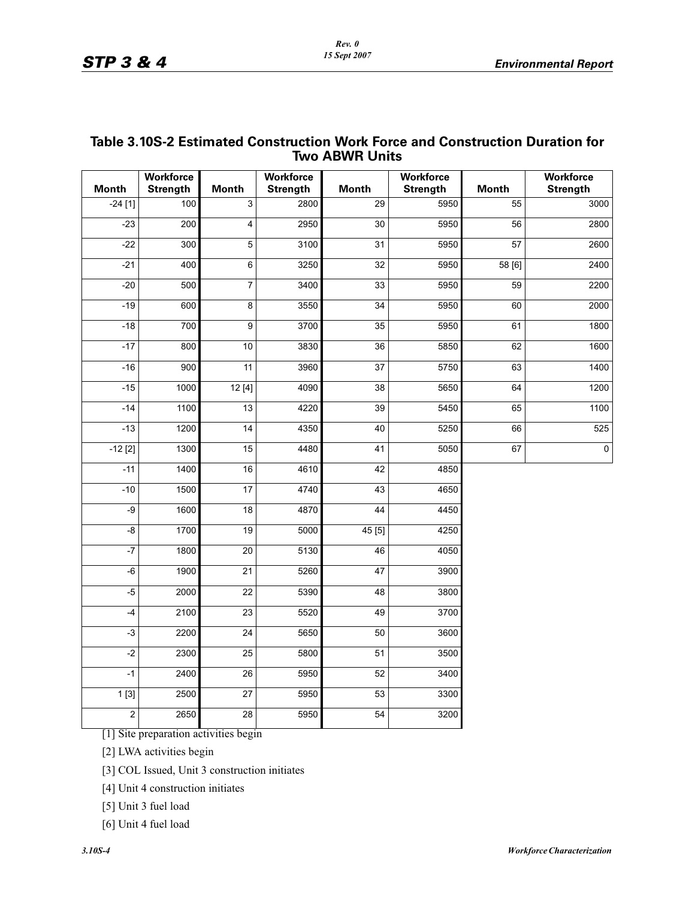| <b>Two ABWR Units</b> |                                     |                 |                                     |                 |                                     |              |                                     |  |  |
|-----------------------|-------------------------------------|-----------------|-------------------------------------|-----------------|-------------------------------------|--------------|-------------------------------------|--|--|
| <b>Month</b>          | <b>Workforce</b><br><b>Strength</b> | <b>Month</b>    | <b>Workforce</b><br><b>Strength</b> | <b>Month</b>    | <b>Workforce</b><br><b>Strength</b> | <b>Month</b> | <b>Workforce</b><br><b>Strength</b> |  |  |
| $-24[1]$              | 100                                 | 3               | 2800                                | 29              | 5950                                | 55           | 3000                                |  |  |
| $-23$                 | 200                                 | $\overline{4}$  | 2950                                | 30              | 5950                                | 56           | 2800                                |  |  |
| $-22$                 | 300                                 | $\overline{5}$  | $\overline{3100}$                   | 31              | 5950                                | 57           | 2600                                |  |  |
| $-21$                 | 400                                 | $\overline{6}$  | 3250                                | 32              | 5950                                | 58 [6]       | 2400                                |  |  |
| $-20$                 | 500                                 | $\overline{7}$  | 3400                                | 33              | 5950                                | 59           | 2200                                |  |  |
| $-19$                 | 600                                 | 8               | 3550                                | 34              | 5950                                | 60           | 2000                                |  |  |
| $-18$                 | 700                                 | $\overline{9}$  | 3700                                | 35              | 5950                                | 61           | 1800                                |  |  |
| $-17$                 | 800                                 | 10              | 3830                                | 36              | 5850                                | 62           | 1600                                |  |  |
| $-16$                 | 900                                 | 11              | 3960                                | $\overline{37}$ | 5750                                | 63           | 1400                                |  |  |
| $-15$                 | 1000                                | 12[4]           | 4090                                | 38              | 5650                                | 64           | 1200                                |  |  |
| $-14$                 | 1100                                | 13              | 4220                                | 39              | 5450                                | 65           | 1100                                |  |  |
| $-13$                 | 1200                                | 14              | 4350                                | 40              | 5250                                | 66           | 525                                 |  |  |
| $-12$ [2]             | 1300                                | 15              | 4480                                | 41              | 5050                                | 67           | $\mathbf 0$                         |  |  |
| $-11$                 | 1400                                | 16              | 4610                                | 42              | 4850                                |              |                                     |  |  |
| $-10$                 | 1500                                | 17              | 4740                                | 43              | 4650                                |              |                                     |  |  |
| $-9$                  | 1600                                | $\overline{18}$ | 4870                                | 44              | 4450                                |              |                                     |  |  |
| $-\frac{8}{5}$        | 1700                                | 19              | 5000                                | 45 [5]          | 4250                                |              |                                     |  |  |
| $-7$                  | 1800                                | $\overline{20}$ | $\frac{1}{5130}$                    | 46              | 4050                                |              |                                     |  |  |
| -6                    | 1900                                | 21              | 5260                                | 47              | 3900                                |              |                                     |  |  |
| $-5$                  | 2000                                | 22              | 5390                                | 48              | 3800                                |              |                                     |  |  |
| $-4$                  | 2100                                | 23              | 5520                                | 49              | 3700                                |              |                                     |  |  |
| $-3$                  | 2200                                | 24              | 5650                                | 50              | 3600                                |              |                                     |  |  |
| $-2$                  | 2300                                | 25              | 5800                                | 51              | 3500                                |              |                                     |  |  |
| $-1$                  | 2400                                | $\overline{26}$ | 5950                                | 52              | 3400                                |              |                                     |  |  |
| 1[3]                  | 2500                                | $\overline{27}$ | 5950                                | 53              | 3300                                |              |                                     |  |  |
| $\overline{2}$        | 2650                                | $\overline{28}$ | 5950                                | $\overline{54}$ | 3200                                |              |                                     |  |  |
|                       |                                     |                 |                                     |                 |                                     |              |                                     |  |  |

### **Table 3.10S-2 Estimated Construction Work Force and Construction Duration for Two ABWR Units**

[1] Site preparation activities begin

[2] LWA activities begin

[3] COL Issued, Unit 3 construction initiates

[4] Unit 4 construction initiates

[5] Unit 3 fuel load

[6] Unit 4 fuel load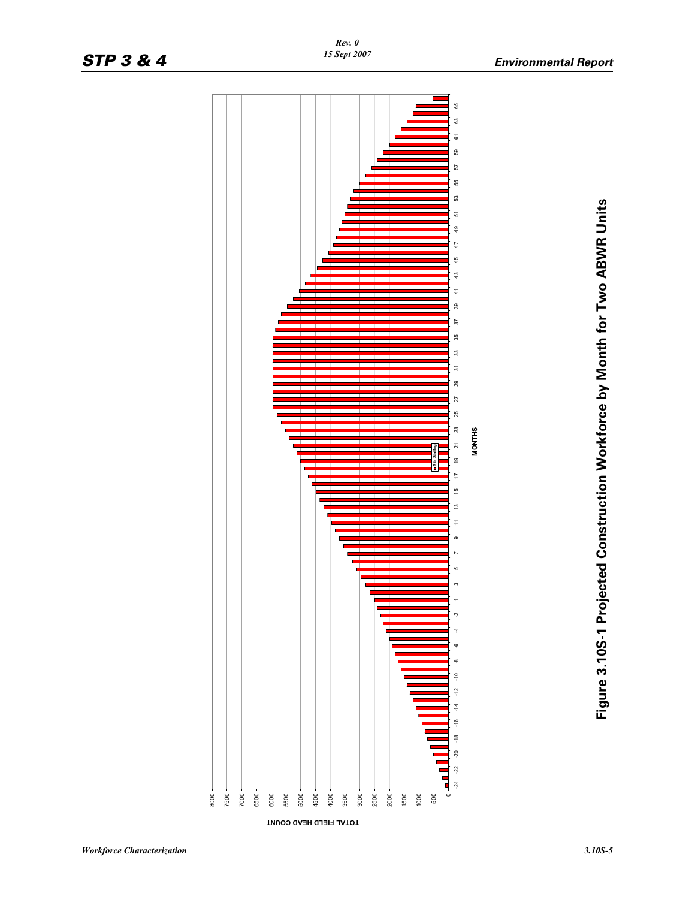

*Rev. 0 15 Sept 2007*